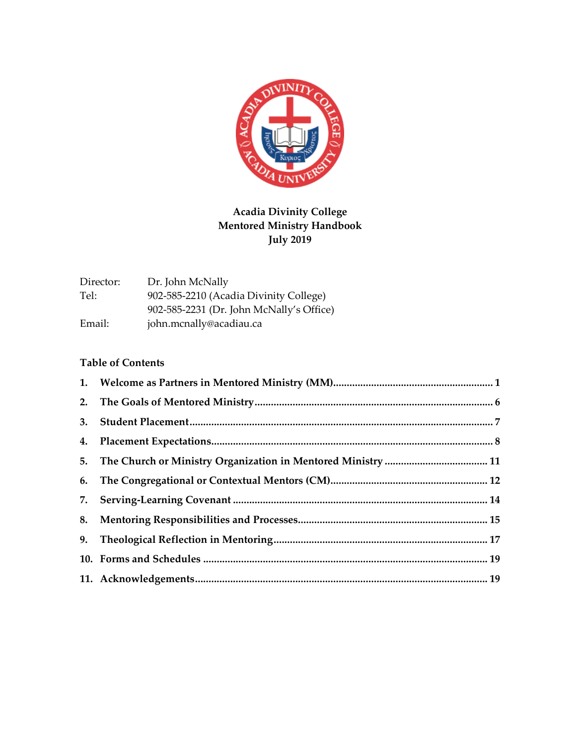

| Director: | Dr. John McNally                         |
|-----------|------------------------------------------|
| Tel:      | 902-585-2210 (Acadia Divinity College)   |
|           | 902-585-2231 (Dr. John McNally's Office) |
| Email:    | john.mcnally@acadiau.ca                  |

# **Table of Contents**

| 3. |  |
|----|--|
|    |  |
|    |  |
|    |  |
|    |  |
|    |  |
|    |  |
|    |  |
|    |  |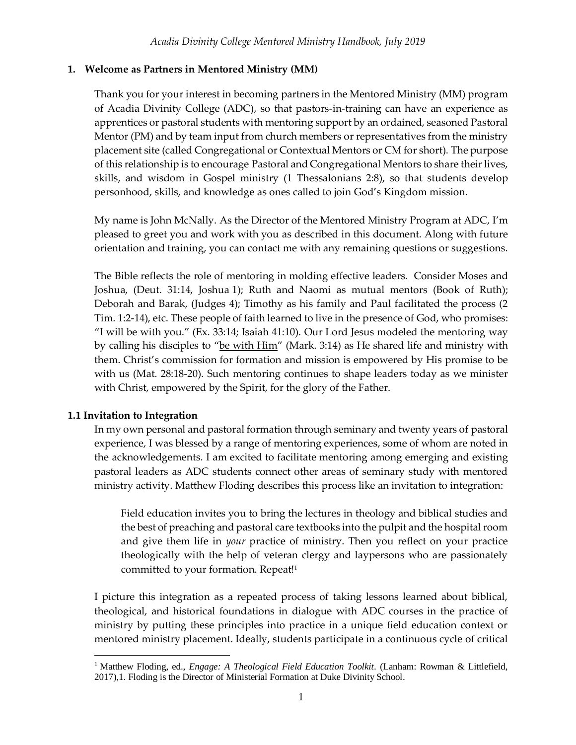### <span id="page-1-0"></span>**1. Welcome as Partners in Mentored Ministry (MM)**

Thank you for your interest in becoming partners in the Mentored Ministry (MM) program of Acadia Divinity College (ADC), so that pastors-in-training can have an experience as apprentices or pastoral students with mentoring support by an ordained, seasoned Pastoral Mentor (PM) and by team input from church members or representatives from the ministry placement site (called Congregational or Contextual Mentors or CM for short). The purpose of this relationship is to encourage Pastoral and Congregational Mentors to share their lives, skills, and wisdom in Gospel ministry (1 Thessalonians 2:8), so that students develop personhood, skills, and knowledge as ones called to join God's Kingdom mission.

My name is John McNally. As the Director of the Mentored Ministry Program at ADC, I'm pleased to greet you and work with you as described in this document. Along with future orientation and training, you can contact me with any remaining questions or suggestions.

The Bible reflects the role of mentoring in molding effective leaders. Consider Moses and Joshua, (Deut. 31:14, Joshua 1); Ruth and Naomi as mutual mentors (Book of Ruth); Deborah and Barak, (Judges 4); Timothy as his family and Paul facilitated the process (2 Tim. 1:2-14), etc. These people of faith learned to live in the presence of God, who promises: "I will be with you." (Ex. 33:14; Isaiah 41:10). Our Lord Jesus modeled the mentoring way by calling his disciples to "be with Him" (Mark. 3:14) as He shared life and ministry with them. Christ's commission for formation and mission is empowered by His promise to be with us (Mat. 28:18-20). Such mentoring continues to shape leaders today as we minister with Christ, empowered by the Spirit, for the glory of the Father.

# **1.1 Invitation to Integration**

In my own personal and pastoral formation through seminary and twenty years of pastoral experience, I was blessed by a range of mentoring experiences, some of whom are noted in the acknowledgements. I am excited to facilitate mentoring among emerging and existing pastoral leaders as ADC students connect other areas of seminary study with mentored ministry activity. Matthew Floding describes this process like an invitation to integration:

Field education invites you to bring the lectures in theology and biblical studies and the best of preaching and pastoral care textbooks into the pulpit and the hospital room and give them life in *your* practice of ministry. Then you reflect on your practice theologically with the help of veteran clergy and laypersons who are passionately committed to your formation. Repeat!<sup>1</sup>

I picture this integration as a repeated process of taking lessons learned about biblical, theological, and historical foundations in dialogue with ADC courses in the practice of ministry by putting these principles into practice in a unique field education context or mentored ministry placement. Ideally, students participate in a continuous cycle of critical

<sup>&</sup>lt;sup>1</sup> Matthew Floding, ed., *Engage: A Theological Field Education Toolkit*. (Lanham: Rowman & Littlefield, 2017),1. Floding is the Director of Ministerial Formation at Duke Divinity School.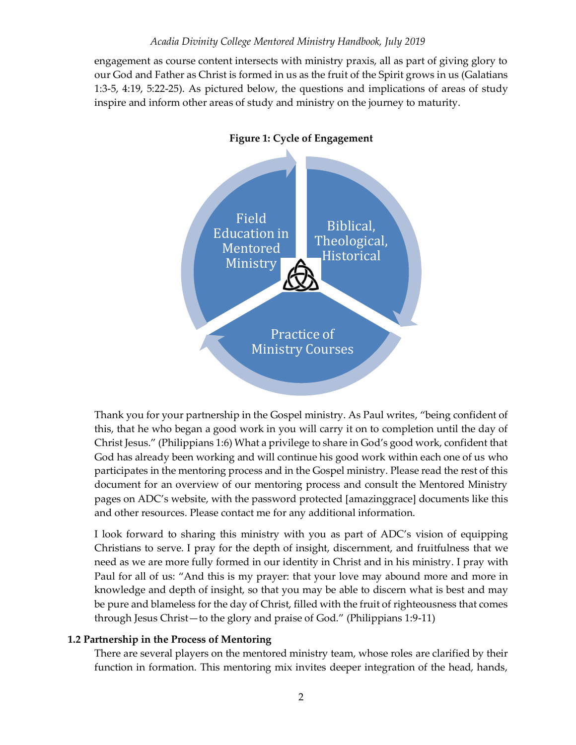engagement as course content intersects with ministry praxis, all as part of giving glory to our God and Father as Christ is formed in us as the fruit of the Spirit grows in us (Galatians 1:3-5, 4:19, 5:22-25). As pictured below, the questions and implications of areas of study inspire and inform other areas of study and ministry on the journey to maturity.



Thank you for your partnership in the Gospel ministry. As Paul writes, "being confident of this, that he who began a good work in you will carry it on to completion until the day of Christ Jesus." (Philippians 1:6) What a privilege to share in God's good work, confident that God has already been working and will continue his good work within each one of us who participates in the mentoring process and in the Gospel ministry. Please read the rest of this document for an overview of our mentoring process and consult the Mentored Ministry pages on ADC's website, with the password protected [amazinggrace] documents like this and other resources. Please contact me for any additional information.

I look forward to sharing this ministry with you as part of ADC's vision of equipping Christians to serve. I pray for the depth of insight, discernment, and fruitfulness that we need as we are more fully formed in our identity in Christ and in his ministry. I pray with Paul for all of us: "And this is my prayer: that your love may abound more and more in knowledge and depth of insight, so that you may be able to discern what is best and may be pure and blameless for the day of Christ, filled with the fruit of righteousness that comes through Jesus Christ—to the glory and praise of God." (Philippians 1:9-11)

### **1.2 Partnership in the Process of Mentoring**

There are several players on the mentored ministry team, whose roles are clarified by their function in formation. This mentoring mix invites deeper integration of the head, hands,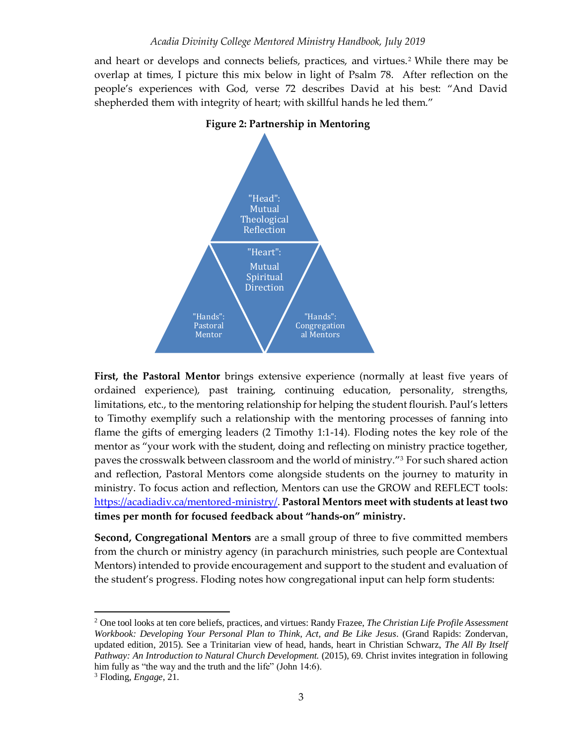and heart or develops and connects beliefs, practices, and virtues.<sup>2</sup> While there may be overlap at times, I picture this mix below in light of Psalm 78. After reflection on the people's experiences with God, verse 72 describes David at his best: "And David shepherded them with integrity of heart; with skillful hands he led them."



#### **Figure 2: Partnership in Mentoring**

**First, the Pastoral Mentor** brings extensive experience (normally at least five years of ordained experience), past training, continuing education, personality, strengths, limitations, etc., to the mentoring relationship for helping the student flourish. Paul's letters to Timothy exemplify such a relationship with the mentoring processes of fanning into flame the gifts of emerging leaders (2 Timothy 1:1-14). Floding notes the key role of the mentor as "your work with the student, doing and reflecting on ministry practice together, paves the crosswalk between classroom and the world of ministry."<sup>3</sup> For such shared action and reflection, Pastoral Mentors come alongside students on the journey to maturity in ministry. To focus action and reflection, Mentors can use the GROW and REFLECT tools: [https://acadiadiv.ca/mentored-ministry/.](https://acadiadiv.ca/mentored-ministry/) **Pastoral Mentors meet with students at least two times per month for focused feedback about "hands-on" ministry.** 

**Second, Congregational Mentors** are a small group of three to five committed members from the church or ministry agency (in parachurch ministries, such people are Contextual Mentors) intended to provide encouragement and support to the student and evaluation of the student's progress. Floding notes how congregational input can help form students:

<sup>2</sup> One tool looks at ten core beliefs, practices, and virtues: Randy Frazee, *The Christian Life Profile Assessment Workbook: Developing Your Personal Plan to Think, Act, and Be Like Jesus*. (Grand Rapids: Zondervan, updated edition, 2015). See a Trinitarian view of head, hands, heart in Christian Schwarz, *The All By Itself Pathway: An Introduction to Natural Church Development.* (2015), 69. Christ invites integration in following him fully as "the way and the truth and the life" (John 14:6).

<sup>3</sup> Floding, *Engage*, 21.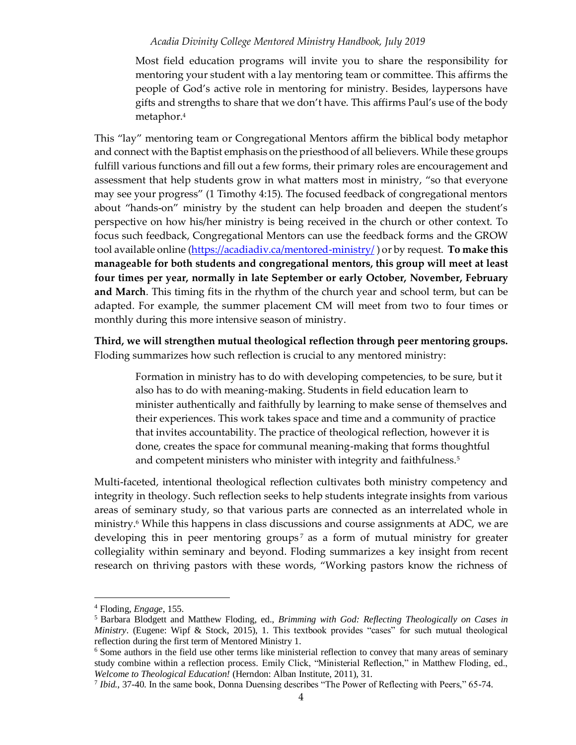Most field education programs will invite you to share the responsibility for mentoring your student with a lay mentoring team or committee. This affirms the people of God's active role in mentoring for ministry. Besides, laypersons have gifts and strengths to share that we don't have. This affirms Paul's use of the body metaphor.<sup>4</sup>

This "lay" mentoring team or Congregational Mentors affirm the biblical body metaphor and connect with the Baptist emphasis on the priesthood of all believers. While these groups fulfill various functions and fill out a few forms, their primary roles are encouragement and assessment that help students grow in what matters most in ministry, "so that everyone may see your progress" (1 Timothy 4:15). The focused feedback of congregational mentors about "hands-on" ministry by the student can help broaden and deepen the student's perspective on how his/her ministry is being received in the church or other context. To focus such feedback, Congregational Mentors can use the feedback forms and the GROW tool available online [\(https://acadiadiv.ca/mentored-ministry/](https://acadiadiv.ca/mentored-ministry/) ) or by request. **To make this manageable for both students and congregational mentors, this group will meet at least four times per year, normally in late September or early October, November, February and March**. This timing fits in the rhythm of the church year and school term, but can be adapted. For example, the summer placement CM will meet from two to four times or monthly during this more intensive season of ministry.

**Third, we will strengthen mutual theological reflection through peer mentoring groups.** Floding summarizes how such reflection is crucial to any mentored ministry:

Formation in ministry has to do with developing competencies, to be sure, but it also has to do with meaning-making. Students in field education learn to minister authentically and faithfully by learning to make sense of themselves and their experiences. This work takes space and time and a community of practice that invites accountability. The practice of theological reflection, however it is done, creates the space for communal meaning-making that forms thoughtful and competent ministers who minister with integrity and faithfulness.<sup>5</sup>

Multi-faceted, intentional theological reflection cultivates both ministry competency and integrity in theology. Such reflection seeks to help students integrate insights from various areas of seminary study, so that various parts are connected as an interrelated whole in ministry. <sup>6</sup> While this happens in class discussions and course assignments at ADC, we are developing this in peer mentoring groups<sup>7</sup> as a form of mutual ministry for greater collegiality within seminary and beyond. Floding summarizes a key insight from recent research on thriving pastors with these words, "Working pastors know the richness of

<sup>4</sup> Floding, *Engage*, 155.

<sup>5</sup> Barbara Blodgett and Matthew Floding, ed., *Brimming with God: Reflecting Theologically on Cases in Ministry*. (Eugene: Wipf & Stock, 2015), 1. This textbook provides "cases" for such mutual theological reflection during the first term of Mentored Ministry 1.

<sup>&</sup>lt;sup>6</sup> Some authors in the field use other terms like ministerial reflection to convey that many areas of seminary study combine within a reflection process. Emily Click, "Ministerial Reflection," in Matthew Floding, ed., *Welcome to Theological Education!* (Herndon: Alban Institute, 2011), 31.

<sup>&</sup>lt;sup>7</sup> Ibid., 37-40. In the same book, Donna Duensing describes "The Power of Reflecting with Peers," 65-74.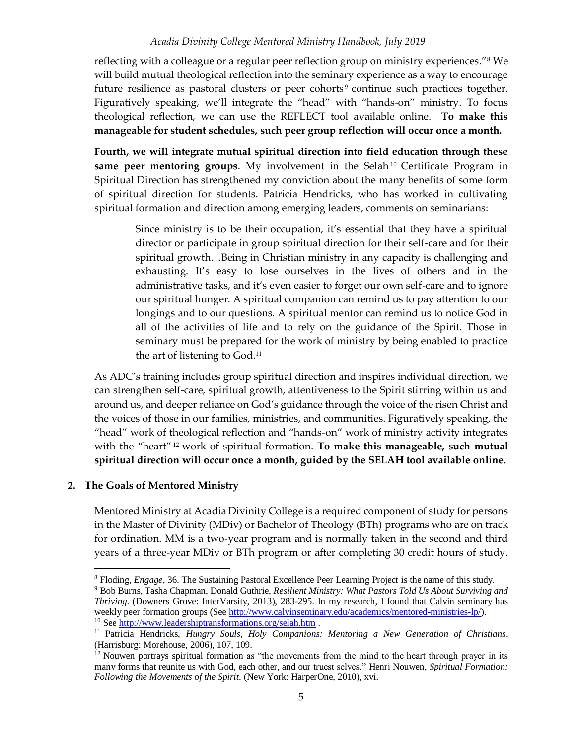reflecting with a colleague or a regular peer reflection group on ministry experiences."<sup>8</sup> We will build mutual theological reflection into the seminary experience as a way to encourage future resilience as pastoral clusters or peer cohorts<sup>9</sup> continue such practices together. Figuratively speaking, we'll integrate the "head" with "hands-on" ministry. To focus theological reflection, we can use the REFLECT tool available online. **To make this manageable for student schedules, such peer group reflection will occur once a month.** 

**Fourth, we will integrate mutual spiritual direction into field education through these same peer mentoring groups**. My involvement in the Selah<sup>10</sup> Certificate Program in Spiritual Direction has strengthened my conviction about the many benefits of some form of spiritual direction for students. Patricia Hendricks, who has worked in cultivating spiritual formation and direction among emerging leaders, comments on seminarians:

Since ministry is to be their occupation, it's essential that they have a spiritual director or participate in group spiritual direction for their self-care and for their spiritual growth…Being in Christian ministry in any capacity is challenging and exhausting. It's easy to lose ourselves in the lives of others and in the administrative tasks, and it's even easier to forget our own self-care and to ignore our spiritual hunger. A spiritual companion can remind us to pay attention to our longings and to our questions. A spiritual mentor can remind us to notice God in all of the activities of life and to rely on the guidance of the Spirit. Those in seminary must be prepared for the work of ministry by being enabled to practice the art of listening to God.<sup>11</sup>

As ADC's training includes group spiritual direction and inspires individual direction, we can strengthen self-care, spiritual growth, attentiveness to the Spirit stirring within us and around us, and deeper reliance on God's guidance through the voice of the risen Christ and the voices of those in our families, ministries, and communities. Figuratively speaking, the "head" work of theological reflection and "hands-on" work of ministry activity integrates with the "heart" <sup>12</sup> work of spiritual formation. **To make this manageable, such mutual spiritual direction will occur once a month, guided by the SELAH tool available online.** 

#### **2. The Goals of Mentored Ministry**

Mentored Ministry at Acadia Divinity College is a required component of study for persons in the Master of Divinity (MDiv) or Bachelor of Theology (BTh) programs who are on track for ordination. MM is a two-year program and is normally taken in the second and third years of a three-year MDiv or BTh program or after completing 30 credit hours of study.

<sup>8</sup> Floding, *Engage*, 36. The Sustaining Pastoral Excellence Peer Learning Project is the name of this study.

<sup>9</sup> Bob Burns, Tasha Chapman, Donald Guthrie, *Resilient Ministry: What Pastors Told Us About Surviving and Thriving*. (Downers Grove: InterVarsity, 2013), 283-295. In my research, I found that Calvin seminary has weekly peer formation groups (See [http://www.calvinseminary.edu/academics/mentored-ministries-lp/\)](http://www.calvinseminary.edu/academics/mentored-ministries-lp/). <sup>10</sup> Se[e http://www.leadershiptransformations.org/selah.htm](http://www.leadershiptransformations.org/selah.htm).

<sup>11</sup> Patricia Hendricks, *Hungry Souls, Holy Companions: Mentoring a New Generation of Christians*. (Harrisburg: Morehouse, 2006), 107, 109.

<sup>&</sup>lt;sup>12</sup> Nouwen portrays spiritual formation as "the movements from the mind to the heart through prayer in its many forms that reunite us with God, each other, and our truest selves." Henri Nouwen, *Spiritual Formation: Following the Movements of the Spirit*. (New York: HarperOne, 2010), xvi.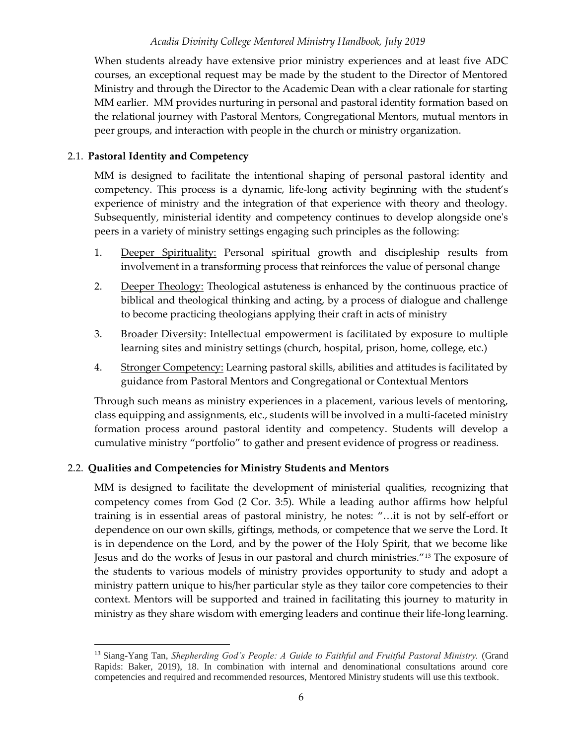When students already have extensive prior ministry experiences and at least five ADC courses, an exceptional request may be made by the student to the Director of Mentored Ministry and through the Director to the Academic Dean with a clear rationale for starting MM earlier. MM provides nurturing in personal and pastoral identity formation based on the relational journey with Pastoral Mentors, Congregational Mentors, mutual mentors in peer groups, and interaction with people in the church or ministry organization.

### 2.1. **Pastoral Identity and Competency**

MM is designed to facilitate the intentional shaping of personal pastoral identity and competency. This process is a dynamic, life-long activity beginning with the student's experience of ministry and the integration of that experience with theory and theology. Subsequently, ministerial identity and competency continues to develop alongside one's peers in a variety of ministry settings engaging such principles as the following:

- 1. Deeper Spirituality: Personal spiritual growth and discipleship results from involvement in a transforming process that reinforces the value of personal change
- 2. Deeper Theology: Theological astuteness is enhanced by the continuous practice of biblical and theological thinking and acting, by a process of dialogue and challenge to become practicing theologians applying their craft in acts of ministry
- 3. Broader Diversity: Intellectual empowerment is facilitated by exposure to multiple learning sites and ministry settings (church, hospital, prison, home, college, etc.)
- 4. Stronger Competency: Learning pastoral skills, abilities and attitudes is facilitated by guidance from Pastoral Mentors and Congregational or Contextual Mentors

Through such means as ministry experiences in a placement, various levels of mentoring, class equipping and assignments, etc., students will be involved in a multi-faceted ministry formation process around pastoral identity and competency. Students will develop a cumulative ministry "portfolio" to gather and present evidence of progress or readiness.

### 2.2. **Qualities and Competencies for Ministry Students and Mentors**

MM is designed to facilitate the development of ministerial qualities, recognizing that competency comes from God (2 Cor. 3:5). While a leading author affirms how helpful training is in essential areas of pastoral ministry, he notes: "…it is not by self-effort or dependence on our own skills, giftings, methods, or competence that we serve the Lord. It is in dependence on the Lord, and by the power of the Holy Spirit, that we become like Jesus and do the works of Jesus in our pastoral and church ministries."<sup>13</sup> The exposure of the students to various models of ministry provides opportunity to study and adopt a ministry pattern unique to his/her particular style as they tailor core competencies to their context. Mentors will be supported and trained in facilitating this journey to maturity in ministry as they share wisdom with emerging leaders and continue their life-long learning.

<sup>13</sup> Siang-Yang Tan, *Shepherding God's People: A Guide to Faithful and Fruitful Pastoral Ministry.* (Grand Rapids: Baker, 2019), 18. In combination with internal and denominational consultations around core competencies and required and recommended resources, Mentored Ministry students will use this textbook.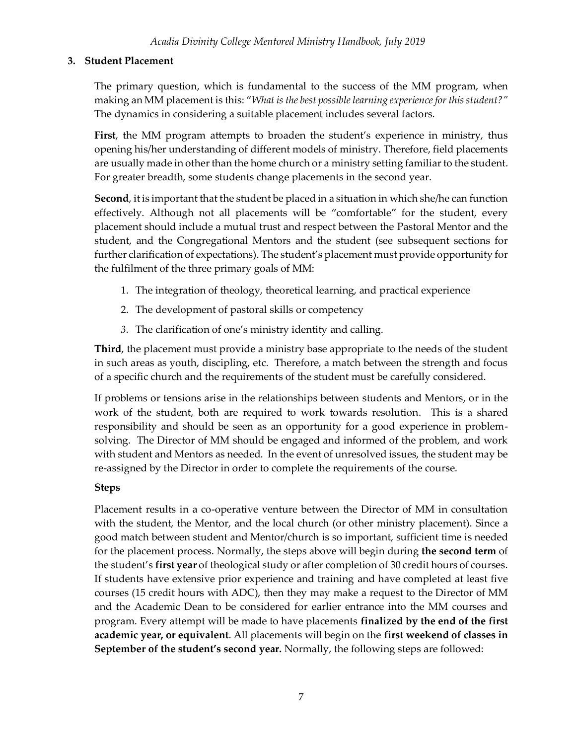# <span id="page-7-0"></span>**3. Student Placement**

The primary question, which is fundamental to the success of the MM program, when making an MM placement is this: "*What is the best possible learning experience for this student?"* The dynamics in considering a suitable placement includes several factors.

**First**, the MM program attempts to broaden the student's experience in ministry, thus opening his/her understanding of different models of ministry. Therefore, field placements are usually made in other than the home church or a ministry setting familiar to the student. For greater breadth, some students change placements in the second year.

**Second**, it is important that the student be placed in a situation in which she/he can function effectively. Although not all placements will be "comfortable" for the student, every placement should include a mutual trust and respect between the Pastoral Mentor and the student, and the Congregational Mentors and the student (see subsequent sections for further clarification of expectations). The student's placement must provide opportunity for the fulfilment of the three primary goals of MM:

- 1. The integration of theology, theoretical learning, and practical experience
- 2. The development of pastoral skills or competency
- *3.* The clarification of one's ministry identity and calling.

**Third**, the placement must provide a ministry base appropriate to the needs of the student in such areas as youth, discipling, etc. Therefore, a match between the strength and focus of a specific church and the requirements of the student must be carefully considered.

If problems or tensions arise in the relationships between students and Mentors, or in the work of the student, both are required to work towards resolution. This is a shared responsibility and should be seen as an opportunity for a good experience in problemsolving. The Director of MM should be engaged and informed of the problem, and work with student and Mentors as needed. In the event of unresolved issues, the student may be re-assigned by the Director in order to complete the requirements of the course.

# **Steps**

Placement results in a co-operative venture between the Director of MM in consultation with the student, the Mentor, and the local church (or other ministry placement). Since a good match between student and Mentor/church is so important, sufficient time is needed for the placement process. Normally, the steps above will begin during **the second term** of the student's **first year** of theological study or after completion of 30 credit hours of courses. If students have extensive prior experience and training and have completed at least five courses (15 credit hours with ADC), then they may make a request to the Director of MM and the Academic Dean to be considered for earlier entrance into the MM courses and program. Every attempt will be made to have placements **finalized by the end of the first academic year, or equivalent**. All placements will begin on the **first weekend of classes in September of the student's second year.** Normally, the following steps are followed: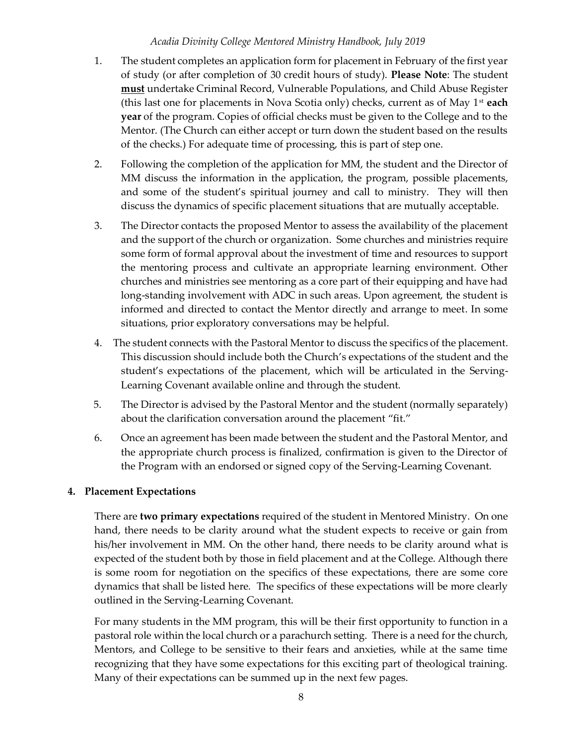- 1. The student completes an application form for placement in February of the first year of study (or after completion of 30 credit hours of study). **Please Note**: The student **must** undertake Criminal Record, Vulnerable Populations, and Child Abuse Register (this last one for placements in Nova Scotia only) checks, current as of May 1st **each year** of the program. Copies of official checks must be given to the College and to the Mentor. (The Church can either accept or turn down the student based on the results of the checks.) For adequate time of processing, this is part of step one.
- 2. Following the completion of the application for MM, the student and the Director of MM discuss the information in the application, the program, possible placements, and some of the student's spiritual journey and call to ministry. They will then discuss the dynamics of specific placement situations that are mutually acceptable.
- 3. The Director contacts the proposed Mentor to assess the availability of the placement and the support of the church or organization. Some churches and ministries require some form of formal approval about the investment of time and resources to support the mentoring process and cultivate an appropriate learning environment. Other churches and ministries see mentoring as a core part of their equipping and have had long-standing involvement with ADC in such areas. Upon agreement, the student is informed and directed to contact the Mentor directly and arrange to meet. In some situations, prior exploratory conversations may be helpful.
- 4. The student connects with the Pastoral Mentor to discuss the specifics of the placement. This discussion should include both the Church's expectations of the student and the student's expectations of the placement, which will be articulated in the Serving-Learning Covenant available online and through the student.
- 5. The Director is advised by the Pastoral Mentor and the student (normally separately) about the clarification conversation around the placement "fit."
- 6. Once an agreement has been made between the student and the Pastoral Mentor, and the appropriate church process is finalized, confirmation is given to the Director of the Program with an endorsed or signed copy of the Serving-Learning Covenant.

### <span id="page-8-0"></span>**4. Placement Expectations**

There are **two primary expectations** required of the student in Mentored Ministry. On one hand, there needs to be clarity around what the student expects to receive or gain from his/her involvement in MM. On the other hand, there needs to be clarity around what is expected of the student both by those in field placement and at the College. Although there is some room for negotiation on the specifics of these expectations, there are some core dynamics that shall be listed here. The specifics of these expectations will be more clearly outlined in the Serving-Learning Covenant.

For many students in the MM program, this will be their first opportunity to function in a pastoral role within the local church or a parachurch setting. There is a need for the church, Mentors, and College to be sensitive to their fears and anxieties, while at the same time recognizing that they have some expectations for this exciting part of theological training. Many of their expectations can be summed up in the next few pages.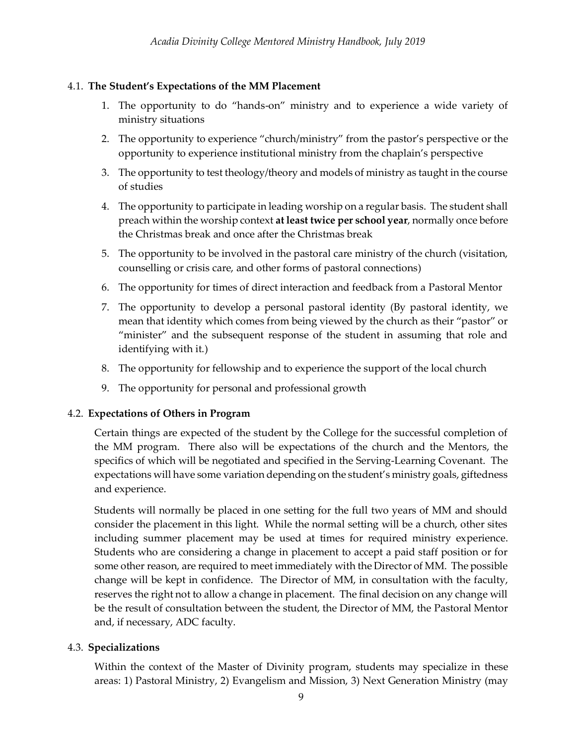### 4.1. **The Student's Expectations of the MM Placement**

- 1. The opportunity to do "hands-on" ministry and to experience a wide variety of ministry situations
- 2. The opportunity to experience "church/ministry" from the pastor's perspective or the opportunity to experience institutional ministry from the chaplain's perspective
- 3. The opportunity to test theology/theory and models of ministry as taught in the course of studies
- 4. The opportunity to participate in leading worship on a regular basis. The student shall preach within the worship context **at least twice per school year**, normally once before the Christmas break and once after the Christmas break
- 5. The opportunity to be involved in the pastoral care ministry of the church (visitation, counselling or crisis care, and other forms of pastoral connections)
- 6. The opportunity for times of direct interaction and feedback from a Pastoral Mentor
- 7. The opportunity to develop a personal pastoral identity (By pastoral identity, we mean that identity which comes from being viewed by the church as their "pastor" or "minister" and the subsequent response of the student in assuming that role and identifying with it.)
- 8. The opportunity for fellowship and to experience the support of the local church
- 9. The opportunity for personal and professional growth

# 4.2. **Expectations of Others in Program**

Certain things are expected of the student by the College for the successful completion of the MM program. There also will be expectations of the church and the Mentors, the specifics of which will be negotiated and specified in the Serving-Learning Covenant. The expectations will have some variation depending on the student's ministry goals, giftedness and experience.

Students will normally be placed in one setting for the full two years of MM and should consider the placement in this light. While the normal setting will be a church, other sites including summer placement may be used at times for required ministry experience. Students who are considering a change in placement to accept a paid staff position or for some other reason, are required to meet immediately with the Director of MM. The possible change will be kept in confidence. The Director of MM, in consultation with the faculty, reserves the right not to allow a change in placement. The final decision on any change will be the result of consultation between the student, the Director of MM, the Pastoral Mentor and, if necessary, ADC faculty.

# 4.3. **Specializations**

Within the context of the Master of Divinity program, students may specialize in these areas: 1) Pastoral Ministry, 2) Evangelism and Mission, 3) Next Generation Ministry (may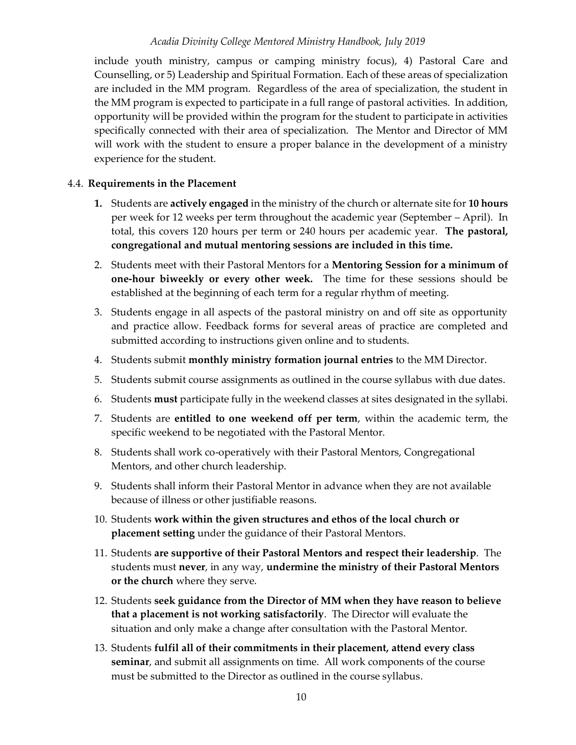include youth ministry, campus or camping ministry focus), 4) Pastoral Care and Counselling, or 5) Leadership and Spiritual Formation. Each of these areas of specialization are included in the MM program. Regardless of the area of specialization, the student in the MM program is expected to participate in a full range of pastoral activities. In addition, opportunity will be provided within the program for the student to participate in activities specifically connected with their area of specialization. The Mentor and Director of MM will work with the student to ensure a proper balance in the development of a ministry experience for the student.

#### 4.4. **Requirements in the Placement**

- **1.** Students are **actively engaged** in the ministry of the church or alternate site for **10 hours** per week for 12 weeks per term throughout the academic year (September – April). In total, this covers 120 hours per term or 240 hours per academic year. **The pastoral, congregational and mutual mentoring sessions are included in this time.**
- 2. Students meet with their Pastoral Mentors for a **Mentoring Session for a minimum of one-hour biweekly or every other week.** The time for these sessions should be established at the beginning of each term for a regular rhythm of meeting.
- 3. Students engage in all aspects of the pastoral ministry on and off site as opportunity and practice allow. Feedback forms for several areas of practice are completed and submitted according to instructions given online and to students.
- 4. Students submit **monthly ministry formation journal entries** to the MM Director.
- 5. Students submit course assignments as outlined in the course syllabus with due dates.
- 6. Students **must** participate fully in the weekend classes at sites designated in the syllabi.
- 7. Students are **entitled to one weekend off per term**, within the academic term, the specific weekend to be negotiated with the Pastoral Mentor.
- 8. Students shall work co-operatively with their Pastoral Mentors, Congregational Mentors, and other church leadership.
- 9. Students shall inform their Pastoral Mentor in advance when they are not available because of illness or other justifiable reasons.
- 10. Students **work within the given structures and ethos of the local church or placement setting** under the guidance of their Pastoral Mentors.
- 11. Students **are supportive of their Pastoral Mentors and respect their leadership**. The students must **never**, in any way, **undermine the ministry of their Pastoral Mentors or the church** where they serve.
- 12. Students **seek guidance from the Director of MM when they have reason to believe that a placement is not working satisfactorily**. The Director will evaluate the situation and only make a change after consultation with the Pastoral Mentor.
- 13. Students **fulfil all of their commitments in their placement, attend every class seminar**, and submit all assignments on time. All work components of the course must be submitted to the Director as outlined in the course syllabus.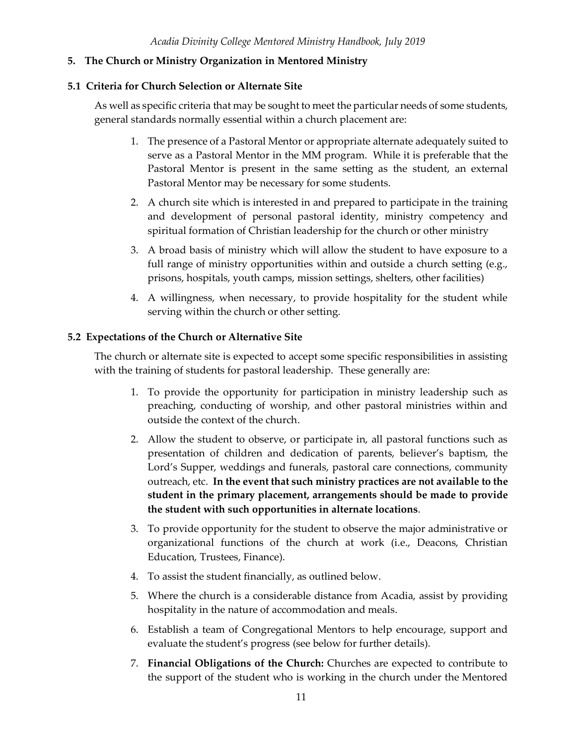### <span id="page-11-0"></span>**5. The Church or Ministry Organization in Mentored Ministry**

### **5.1 Criteria for Church Selection or Alternate Site**

As well as specific criteria that may be sought to meet the particular needs of some students, general standards normally essential within a church placement are:

- 1. The presence of a Pastoral Mentor or appropriate alternate adequately suited to serve as a Pastoral Mentor in the MM program. While it is preferable that the Pastoral Mentor is present in the same setting as the student, an external Pastoral Mentor may be necessary for some students.
- 2. A church site which is interested in and prepared to participate in the training and development of personal pastoral identity, ministry competency and spiritual formation of Christian leadership for the church or other ministry
- 3. A broad basis of ministry which will allow the student to have exposure to a full range of ministry opportunities within and outside a church setting (e.g., prisons, hospitals, youth camps, mission settings, shelters, other facilities)
- 4. A willingness, when necessary, to provide hospitality for the student while serving within the church or other setting.

### **5.2 Expectations of the Church or Alternative Site**

The church or alternate site is expected to accept some specific responsibilities in assisting with the training of students for pastoral leadership. These generally are:

- 1. To provide the opportunity for participation in ministry leadership such as preaching, conducting of worship, and other pastoral ministries within and outside the context of the church.
- 2. Allow the student to observe, or participate in, all pastoral functions such as presentation of children and dedication of parents, believer's baptism, the Lord's Supper, weddings and funerals, pastoral care connections, community outreach, etc. **In the event that such ministry practices are not available to the student in the primary placement, arrangements should be made to provide the student with such opportunities in alternate locations**.
- 3. To provide opportunity for the student to observe the major administrative or organizational functions of the church at work (i.e., Deacons, Christian Education, Trustees, Finance).
- 4. To assist the student financially, as outlined below.
- 5. Where the church is a considerable distance from Acadia, assist by providing hospitality in the nature of accommodation and meals.
- 6. Establish a team of Congregational Mentors to help encourage, support and evaluate the student's progress (see below for further details).
- 7. **Financial Obligations of the Church:** Churches are expected to contribute to the support of the student who is working in the church under the Mentored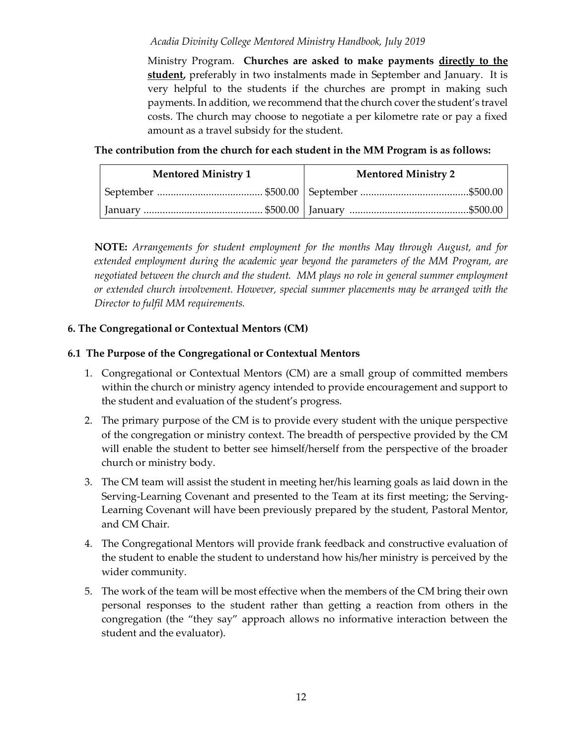Ministry Program. **Churches are asked to make payments directly to the student,** preferably in two instalments made in September and January. It is very helpful to the students if the churches are prompt in making such payments. In addition, we recommend that the church cover the student's travel costs. The church may choose to negotiate a per kilometre rate or pay a fixed amount as a travel subsidy for the student.

**The contribution from the church for each student in the MM Program is as follows:**

| <b>Mentored Ministry 1</b> | <b>Mentored Ministry 2</b> |
|----------------------------|----------------------------|
|                            |                            |
|                            |                            |

**NOTE:** *Arrangements for student employment for the months May through August, and for extended employment during the academic year beyond the parameters of the MM Program, are negotiated between the church and the student. MM plays no role in general summer employment or extended church involvement. However, special summer placements may be arranged with the Director to fulfil MM requirements.*

# <span id="page-12-0"></span>**6. The Congregational or Contextual Mentors (CM)**

# **6.1 The Purpose of the Congregational or Contextual Mentors**

- 1. Congregational or Contextual Mentors (CM) are a small group of committed members within the church or ministry agency intended to provide encouragement and support to the student and evaluation of the student's progress.
- 2. The primary purpose of the CM is to provide every student with the unique perspective of the congregation or ministry context. The breadth of perspective provided by the CM will enable the student to better see himself/herself from the perspective of the broader church or ministry body.
- 3. The CM team will assist the student in meeting her/his learning goals as laid down in the Serving-Learning Covenant and presented to the Team at its first meeting; the Serving-Learning Covenant will have been previously prepared by the student, Pastoral Mentor, and CM Chair.
- 4. The Congregational Mentors will provide frank feedback and constructive evaluation of the student to enable the student to understand how his/her ministry is perceived by the wider community.
- 5. The work of the team will be most effective when the members of the CM bring their own personal responses to the student rather than getting a reaction from others in the congregation (the "they say" approach allows no informative interaction between the student and the evaluator).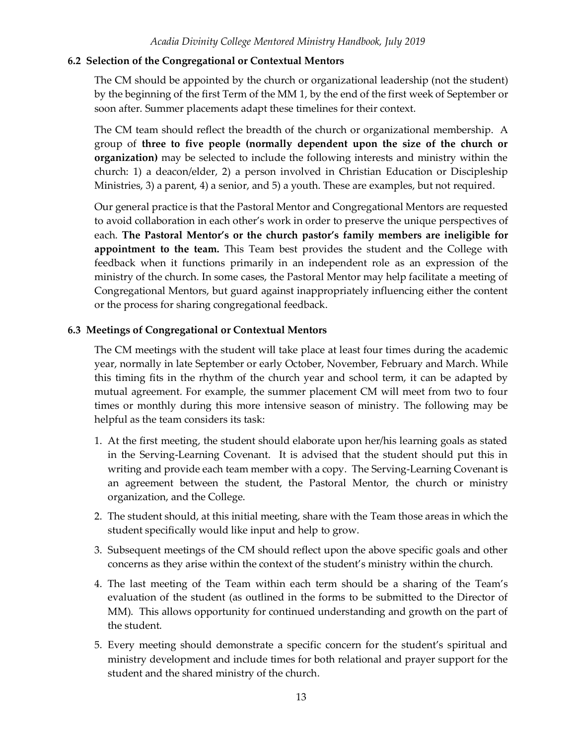#### **6.2 Selection of the Congregational or Contextual Mentors**

The CM should be appointed by the church or organizational leadership (not the student) by the beginning of the first Term of the MM 1, by the end of the first week of September or soon after. Summer placements adapt these timelines for their context.

The CM team should reflect the breadth of the church or organizational membership. A group of **three to five people (normally dependent upon the size of the church or organization)** may be selected to include the following interests and ministry within the church: 1) a deacon/elder, 2) a person involved in Christian Education or Discipleship Ministries, 3) a parent, 4) a senior, and 5) a youth. These are examples, but not required.

Our general practice is that the Pastoral Mentor and Congregational Mentors are requested to avoid collaboration in each other's work in order to preserve the unique perspectives of each. **The Pastoral Mentor's or the church pastor's family members are ineligible for appointment to the team.** This Team best provides the student and the College with feedback when it functions primarily in an independent role as an expression of the ministry of the church. In some cases, the Pastoral Mentor may help facilitate a meeting of Congregational Mentors, but guard against inappropriately influencing either the content or the process for sharing congregational feedback.

### **6.3 Meetings of Congregational or Contextual Mentors**

The CM meetings with the student will take place at least four times during the academic year, normally in late September or early October, November, February and March. While this timing fits in the rhythm of the church year and school term, it can be adapted by mutual agreement. For example, the summer placement CM will meet from two to four times or monthly during this more intensive season of ministry. The following may be helpful as the team considers its task:

- 1. At the first meeting, the student should elaborate upon her/his learning goals as stated in the Serving-Learning Covenant. It is advised that the student should put this in writing and provide each team member with a copy. The Serving-Learning Covenant is an agreement between the student, the Pastoral Mentor, the church or ministry organization, and the College.
- 2. The student should, at this initial meeting, share with the Team those areas in which the student specifically would like input and help to grow.
- 3. Subsequent meetings of the CM should reflect upon the above specific goals and other concerns as they arise within the context of the student's ministry within the church.
- 4. The last meeting of the Team within each term should be a sharing of the Team's evaluation of the student (as outlined in the forms to be submitted to the Director of MM). This allows opportunity for continued understanding and growth on the part of the student.
- 5. Every meeting should demonstrate a specific concern for the student's spiritual and ministry development and include times for both relational and prayer support for the student and the shared ministry of the church.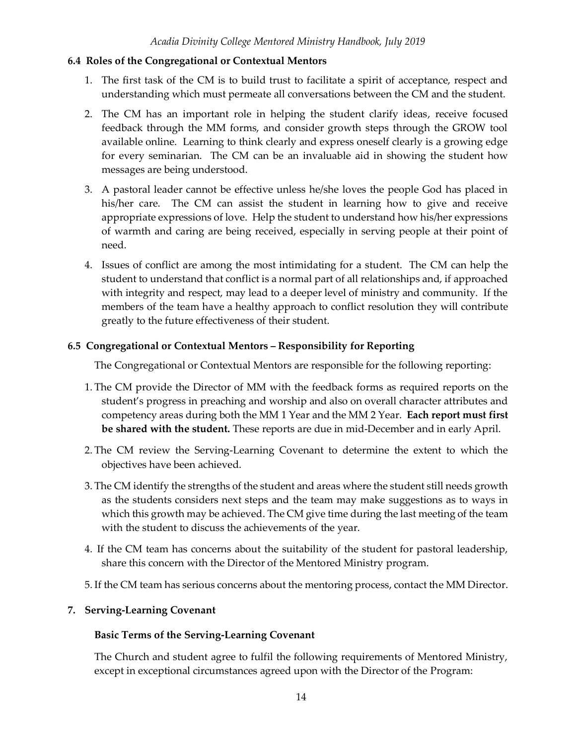### **6.4 Roles of the Congregational or Contextual Mentors**

- 1. The first task of the CM is to build trust to facilitate a spirit of acceptance, respect and understanding which must permeate all conversations between the CM and the student.
- 2. The CM has an important role in helping the student clarify ideas, receive focused feedback through the MM forms, and consider growth steps through the GROW tool available online. Learning to think clearly and express oneself clearly is a growing edge for every seminarian. The CM can be an invaluable aid in showing the student how messages are being understood.
- 3. A pastoral leader cannot be effective unless he/she loves the people God has placed in his/her care. The CM can assist the student in learning how to give and receive appropriate expressions of love. Help the student to understand how his/her expressions of warmth and caring are being received, especially in serving people at their point of need.
- 4. Issues of conflict are among the most intimidating for a student. The CM can help the student to understand that conflict is a normal part of all relationships and, if approached with integrity and respect, may lead to a deeper level of ministry and community. If the members of the team have a healthy approach to conflict resolution they will contribute greatly to the future effectiveness of their student.

# **6.5 Congregational or Contextual Mentors – Responsibility for Reporting**

The Congregational or Contextual Mentors are responsible for the following reporting:

- 1. The CM provide the Director of MM with the feedback forms as required reports on the student's progress in preaching and worship and also on overall character attributes and competency areas during both the MM 1 Year and the MM 2 Year. **Each report must first be shared with the student.** These reports are due in mid-December and in early April.
- 2. The CM review the Serving-Learning Covenant to determine the extent to which the objectives have been achieved.
- 3. The CM identify the strengths of the student and areas where the student still needs growth as the students considers next steps and the team may make suggestions as to ways in which this growth may be achieved. The CM give time during the last meeting of the team with the student to discuss the achievements of the year.
- 4. If the CM team has concerns about the suitability of the student for pastoral leadership, share this concern with the Director of the Mentored Ministry program.
- 5. If the CM team has serious concerns about the mentoring process, contact the MM Director.

# <span id="page-14-0"></span>**7. Serving-Learning Covenant**

# **Basic Terms of the Serving-Learning Covenant**

The Church and student agree to fulfil the following requirements of Mentored Ministry, except in exceptional circumstances agreed upon with the Director of the Program: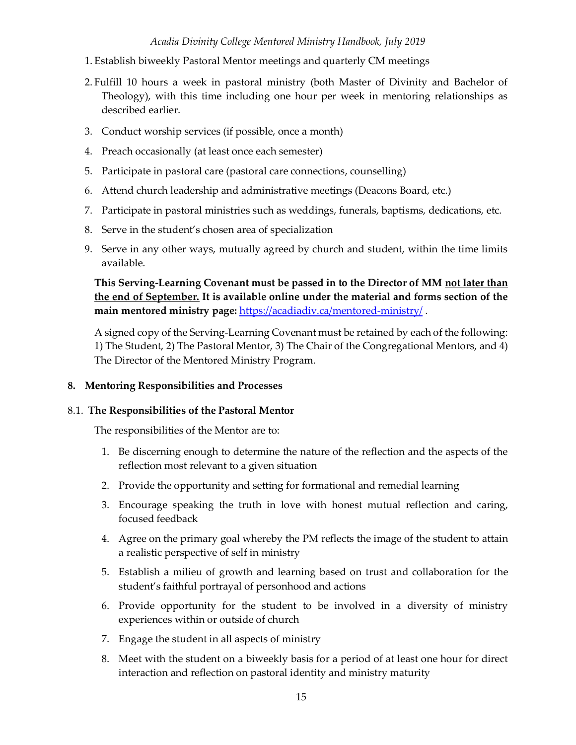- 1. Establish biweekly Pastoral Mentor meetings and quarterly CM meetings
- 2. Fulfill 10 hours a week in pastoral ministry (both Master of Divinity and Bachelor of Theology), with this time including one hour per week in mentoring relationships as described earlier.
- 3. Conduct worship services (if possible, once a month)
- 4. Preach occasionally (at least once each semester)
- 5. Participate in pastoral care (pastoral care connections, counselling)
- 6. Attend church leadership and administrative meetings (Deacons Board, etc.)
- 7. Participate in pastoral ministries such as weddings, funerals, baptisms, dedications, etc.
- 8. Serve in the student's chosen area of specialization
- 9. Serve in any other ways, mutually agreed by church and student, within the time limits available.

**This Serving-Learning Covenant must be passed in to the Director of MM not later than the end of September. It is available online under the material and forms section of the main mentored ministry page:** <https://acadiadiv.ca/mentored-ministry/> .

A signed copy of the Serving-Learning Covenant must be retained by each of the following: 1) The Student, 2) The Pastoral Mentor, 3) The Chair of the Congregational Mentors, and 4) The Director of the Mentored Ministry Program.

### <span id="page-15-0"></span>**8. Mentoring Responsibilities and Processes**

### 8.1. **The Responsibilities of the Pastoral Mentor**

The responsibilities of the Mentor are to:

- 1. Be discerning enough to determine the nature of the reflection and the aspects of the reflection most relevant to a given situation
- 2. Provide the opportunity and setting for formational and remedial learning
- 3. Encourage speaking the truth in love with honest mutual reflection and caring, focused feedback
- 4. Agree on the primary goal whereby the PM reflects the image of the student to attain a realistic perspective of self in ministry
- 5. Establish a milieu of growth and learning based on trust and collaboration for the student's faithful portrayal of personhood and actions
- 6. Provide opportunity for the student to be involved in a diversity of ministry experiences within or outside of church
- 7. Engage the student in all aspects of ministry
- 8. Meet with the student on a biweekly basis for a period of at least one hour for direct interaction and reflection on pastoral identity and ministry maturity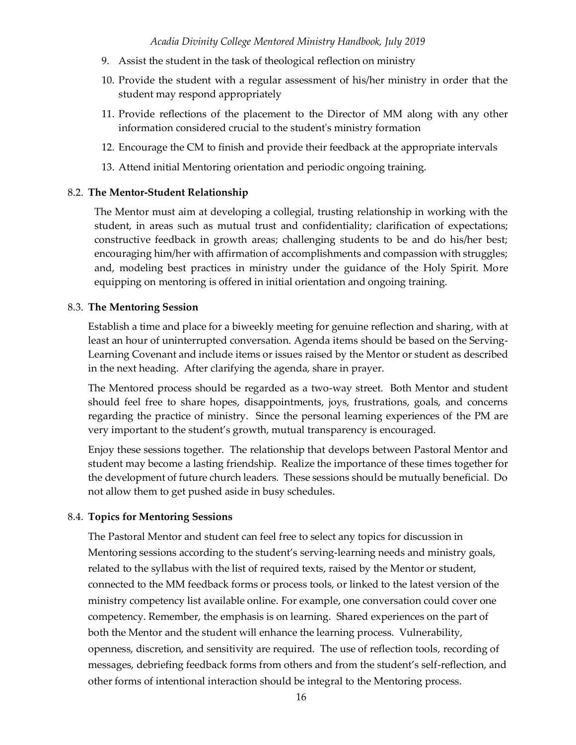- 9. Assist the student in the task of theological reflection on ministry
- 10. Provide the student with a regular assessment of his/her ministry in order that the student may respond appropriately
- 11. Provide reflections of the placement to the Director of MM along with any other information considered crucial to the student's ministry formation
- 12. Encourage the CM to finish and provide their feedback at the appropriate intervals
- 13. Attend initial Mentoring orientation and periodic ongoing training.

#### 8.2. **The Mentor-Student Relationship**

The Mentor must aim at developing a collegial, trusting relationship in working with the student, in areas such as mutual trust and confidentiality; clarification of expectations; constructive feedback in growth areas; challenging students to be and do his/her best; encouraging him/her with affirmation of accomplishments and compassion with struggles; and, modeling best practices in ministry under the guidance of the Holy Spirit. More equipping on mentoring is offered in initial orientation and ongoing training.

#### 8.3. **The Mentoring Session**

Establish a time and place for a biweekly meeting for genuine reflection and sharing, with at least an hour of uninterrupted conversation. Agenda items should be based on the Serving-Learning Covenant and include items or issues raised by the Mentor or student as described in the next heading. After clarifying the agenda, share in prayer.

The Mentored process should be regarded as a two-way street. Both Mentor and student should feel free to share hopes, disappointments, joys, frustrations, goals, and concerns regarding the practice of ministry. Since the personal learning experiences of the PM are very important to the student's growth, mutual transparency is encouraged.

Enjoy these sessions together. The relationship that develops between Pastoral Mentor and student may become a lasting friendship. Realize the importance of these times together for the development of future church leaders. These sessions should be mutually beneficial. Do not allow them to get pushed aside in busy schedules.

### 8.4. **Topics for Mentoring Sessions**

The Pastoral Mentor and student can feel free to select any topics for discussion in Mentoring sessions according to the student's serving-learning needs and ministry goals, related to the syllabus with the list of required texts, raised by the Mentor or student, connected to the MM feedback forms or process tools, or linked to the latest version of the ministry competency list available online. For example, one conversation could cover one competency. Remember, the emphasis is on learning. Shared experiences on the part of both the Mentor and the student will enhance the learning process. Vulnerability, openness, discretion, and sensitivity are required. The use of reflection tools, recording of messages, debriefing feedback forms from others and from the student's self-reflection, and other forms of intentional interaction should be integral to the Mentoring process.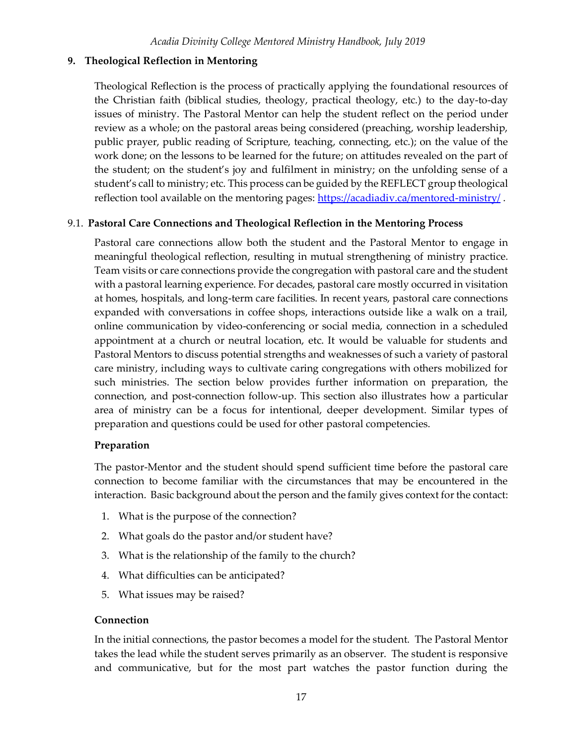### <span id="page-17-0"></span>**9. Theological Reflection in Mentoring**

Theological Reflection is the process of practically applying the foundational resources of the Christian faith (biblical studies, theology, practical theology, etc.) to the day-to-day issues of ministry. The Pastoral Mentor can help the student reflect on the period under review as a whole; on the pastoral areas being considered (preaching, worship leadership, public prayer, public reading of Scripture, teaching, connecting, etc.); on the value of the work done; on the lessons to be learned for the future; on attitudes revealed on the part of the student; on the student's joy and fulfilment in ministry; on the unfolding sense of a student's call to ministry; etc. This process can be guided by the REFLECT group theological reflection tool available on the mentoring pages:<https://acadiadiv.ca/mentored-ministry/>.

### 9.1. **Pastoral Care Connections and Theological Reflection in the Mentoring Process**

Pastoral care connections allow both the student and the Pastoral Mentor to engage in meaningful theological reflection, resulting in mutual strengthening of ministry practice. Team visits or care connections provide the congregation with pastoral care and the student with a pastoral learning experience. For decades, pastoral care mostly occurred in visitation at homes, hospitals, and long-term care facilities. In recent years, pastoral care connections expanded with conversations in coffee shops, interactions outside like a walk on a trail, online communication by video-conferencing or social media, connection in a scheduled appointment at a church or neutral location, etc. It would be valuable for students and Pastoral Mentors to discuss potential strengths and weaknesses of such a variety of pastoral care ministry, including ways to cultivate caring congregations with others mobilized for such ministries. The section below provides further information on preparation, the connection, and post-connection follow-up. This section also illustrates how a particular area of ministry can be a focus for intentional, deeper development. Similar types of preparation and questions could be used for other pastoral competencies.

### **Preparation**

The pastor-Mentor and the student should spend sufficient time before the pastoral care connection to become familiar with the circumstances that may be encountered in the interaction. Basic background about the person and the family gives context for the contact:

- 1. What is the purpose of the connection?
- 2. What goals do the pastor and/or student have?
- 3. What is the relationship of the family to the church?
- 4. What difficulties can be anticipated?
- 5. What issues may be raised?

### **Connection**

In the initial connections, the pastor becomes a model for the student. The Pastoral Mentor takes the lead while the student serves primarily as an observer. The student is responsive and communicative, but for the most part watches the pastor function during the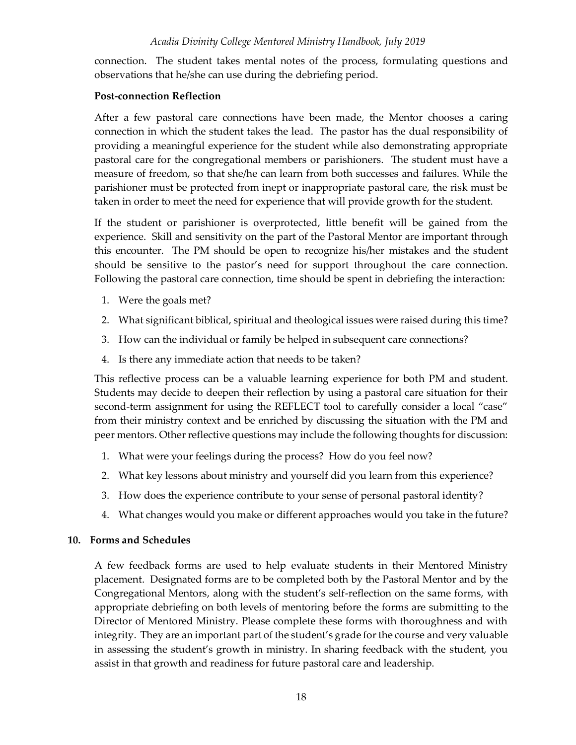connection. The student takes mental notes of the process, formulating questions and observations that he/she can use during the debriefing period.

### **Post-connection Reflection**

After a few pastoral care connections have been made, the Mentor chooses a caring connection in which the student takes the lead. The pastor has the dual responsibility of providing a meaningful experience for the student while also demonstrating appropriate pastoral care for the congregational members or parishioners. The student must have a measure of freedom, so that she/he can learn from both successes and failures. While the parishioner must be protected from inept or inappropriate pastoral care, the risk must be taken in order to meet the need for experience that will provide growth for the student.

If the student or parishioner is overprotected, little benefit will be gained from the experience. Skill and sensitivity on the part of the Pastoral Mentor are important through this encounter. The PM should be open to recognize his/her mistakes and the student should be sensitive to the pastor's need for support throughout the care connection. Following the pastoral care connection, time should be spent in debriefing the interaction:

- 1. Were the goals met?
- 2. What significant biblical, spiritual and theological issues were raised during this time?
- 3. How can the individual or family be helped in subsequent care connections?
- 4. Is there any immediate action that needs to be taken?

This reflective process can be a valuable learning experience for both PM and student. Students may decide to deepen their reflection by using a pastoral care situation for their second-term assignment for using the REFLECT tool to carefully consider a local "case" from their ministry context and be enriched by discussing the situation with the PM and peer mentors. Other reflective questions may include the following thoughts for discussion:

- 1. What were your feelings during the process? How do you feel now?
- 2. What key lessons about ministry and yourself did you learn from this experience?
- 3. How does the experience contribute to your sense of personal pastoral identity?
- 4. What changes would you make or different approaches would you take in the future?

### <span id="page-18-0"></span>**10. Forms and Schedules**

A few feedback forms are used to help evaluate students in their Mentored Ministry placement. Designated forms are to be completed both by the Pastoral Mentor and by the Congregational Mentors, along with the student's self-reflection on the same forms, with appropriate debriefing on both levels of mentoring before the forms are submitting to the Director of Mentored Ministry. Please complete these forms with thoroughness and with integrity. They are an important part of the student's grade for the course and very valuable in assessing the student's growth in ministry. In sharing feedback with the student, you assist in that growth and readiness for future pastoral care and leadership.